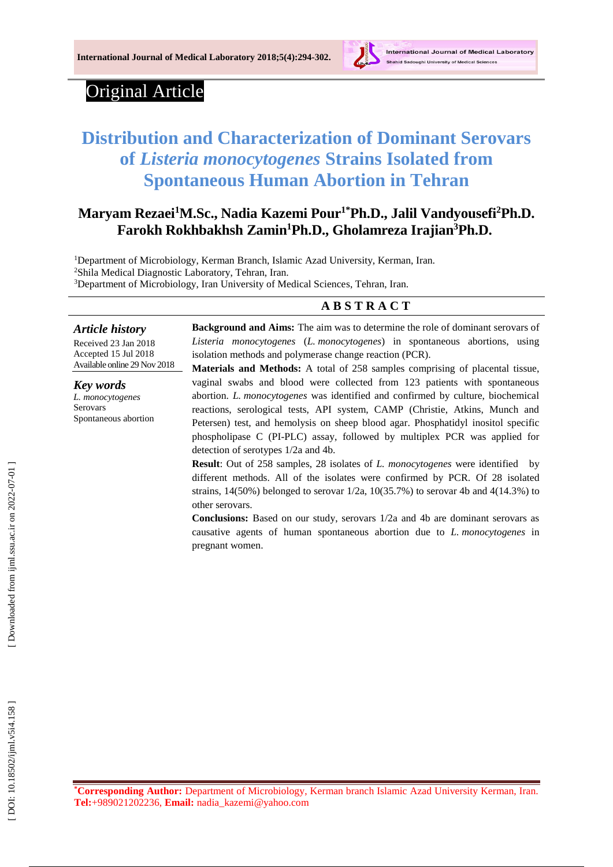

# Original Article

# **Distribution and Characterization of Dominant Serovars of** *Listeria monocytogenes* **Strains Isolated from Spontaneous Human Abortion in Tehran**

# **Maryam Rezaei <sup>1</sup>M.Sc., Nadia Kazemi Pour1\*Ph.D. , Jalil Vandyousefi <sup>2</sup>Ph.D. Farokh Rokhbakhsh Zamin <sup>1</sup>Ph.D., Gholamreza Irajian <sup>3</sup>Ph.D.**

<sup>1</sup>Department of Microbiology, Kerman Branch, Islamic Azad University, Kerman, Iran.

<sup>2</sup>Shila Medical Diagnostic Laboratory, Tehran, Iran.

<sup>3</sup>Department of Microbiology, Iran University of Medical Sciences, Tehran, Iran.

### **A B S T R A C T**

#### *Article history*

Received 23 Jan 2018 Accepted 15 Jul 2018 Available online 2 9 Nov 2018

*Key words L. monocytogenes* Serovars Spontaneous abortion **Background and Aims:** The aim was to determin e the role of dominant serovars of *Listeria monocytogenes* ( *L . monocytogenes*) in spontaneous abortions, using isolation methods and polymerase change reaction (PCR).

**Materials and Methods:** A total of 258 samples comprising of placental tissue, vaginal swabs and blood were collected from 123 patients with spontaneous abortion. *L . monocytogenes* was identified and confirmed by culture, biochemical reactions, serological tests, API system, CAMP (Christie, Atkins, Munch and Petersen) test, and hemolysis on sheep blood agar. Phosphatidyl inositol specific phospholipase C (PI -PLC) assay, followed by multiplex PCR was applied for detection of serotypes 1/2a and 4b.

**Result**: Out of 258 samples, 28 isolates of *L. monocytogenes* were identified by different methods. All of the isolates were confirmed by PCR. Of 28 isolated strains,  $14(50%)$  belonged to serovar  $1/2a$ ,  $10(35.7%)$  to serovar 4b and  $4(14.3%)$  to other serovars.

**Conclusions:** Based on our study, serovars 1/2a and 4b are dominant serovars as causative agents of human spontaneous abortion due to *L . monocytogenes* in pregnant women.

**\*Corresponding Author:** Department of Microbiology , Kerman branch Islamic Azad University Kerman, Iran. **Tel:**[+989](tel:+98-)021202236, **Email:** nadia\_kazemi@yahoo.com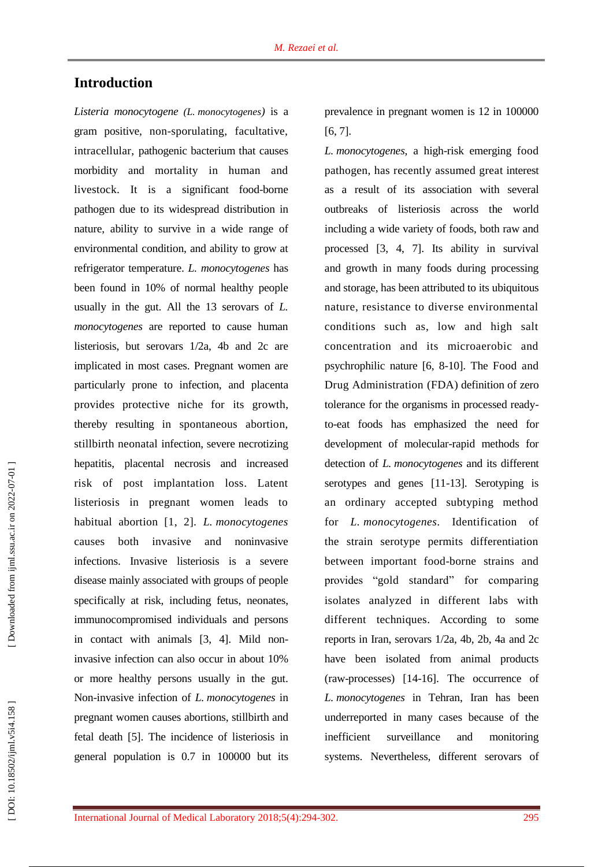# **Introduction**

*Listeria monocytogene ( L . monocytogenes )* is a gram positive, non -sporulating, facultative, intracellular, pathogenic bacterium that cause s morbidity and mortality in human and livestock. It is a significant food -borne pathogen due to its widespread distribution in nature, ability to survive in a wide range of environmental condition, and ability to grow at refrigerator temperature. *L. monocytogenes* has been found in 10% of normal health y people usually in the gut. All the 13 serovars of *L. monocytogenes* are reported to cause human listeriosis, but serovars 1/2a, 4b and 2c are implicated in most cases. Pregnant women are particularly prone to infection, and placent a provides protective niche for its growth, thereby resulting in spontaneous abortion, stillbirth neonatal infection, severe necrotizing hepatitis, placental necrosis and increased risk of post implantation loss. Latent listeriosis in pregnant women leads to habitual abortion [1, 2]. *L. monocytogenes* cause both invasive and noninvasive infections. Invasive listeriosis is a severe disease mainly associated with groups of people specifically at risk, including fetus, neonates, immun ocompromised individuals and persons in contact with animals [3, 4]. Mild non invasive infection can also occur in about 10% or more health y persons usually in the gut. Non -invasive infection of *L. monocytogenes* in pregnant women cause s abortions, stillbirth and fetal death [5]. The incidence of listeriosis in general population is 0.7 in 100000 but its

prevalence in pregnant women is 12 in 100000 [6, 7].

*L. monocytogenes* , a high -risk emerging food pathogen, has recently assumed grea t interest as a result of its association with several outbreaks of listeriosis across the world including a wide variety of foods, both raw and processed [3, 4, 7]. Its ability in survival and growth in many foods during processing and storage, has been attributed to its ubiquitous nature, resistance to diverse environmental conditions such as, low and high salt concentration and its microaerobic and psychrophilic nature [6 , 8 -10]. The Food and Drug Administration (FDA) d efinition of zero tolerance for the organisms in processed ready to -eat foods has emphasized the need for development of molecular -rapid method s for detection of *L. monocytogenes* and its different serotypes and genes [11 -13]. Serotyping is an ordinary accepted subtyping method for *L. monocytogenes .* Identification of the strain serotype permits differentiation between important food -borne strains and provides "gold standard" for comp aring isolates analyzed in different labs with different techniques. According to some reports in Iran, serovars 1/2a, 4b, 2b, 4a and 2c have been isolated from animal products (raw-processes) [14-16]. The occurrence of *L. monocytogenes* in Tehran, Iran has been underreported in many cases because of the inefficient surveillance and monitoring systems. Nevertheless, different serovars of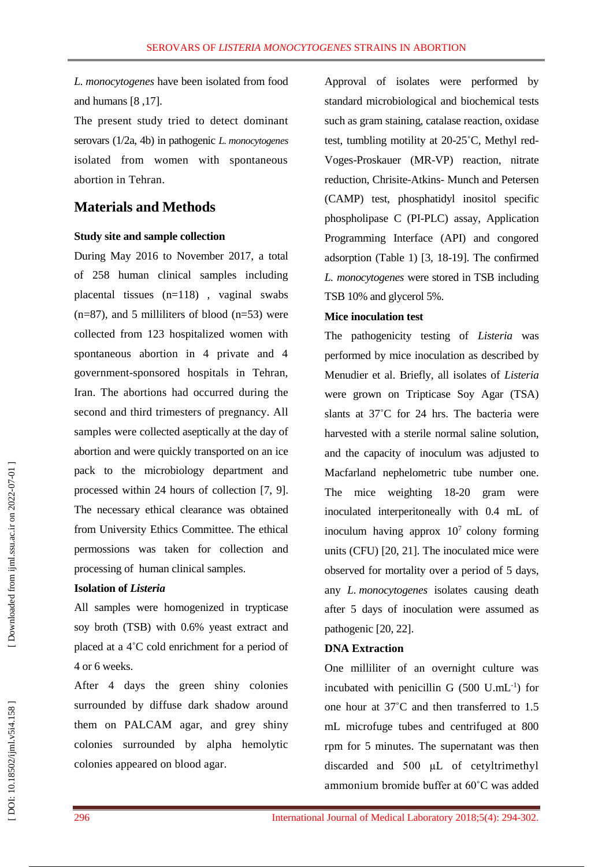*L. monocytogenes* have been isolated from food and humans [8 ,17].

The present study tried to detect dominan t serovars (1/2a, 4b) in pathogenic *L. monocytogenes* isolated from women with spontaneous abortion in Tehran.

# **Materials and Method s**

#### **Study site and sample collection**

During May 2016 to November 201 7 , a total of 258 human clinical samples including placental tissues (n=118) , vaginal swabs  $(n=87)$ , and 5 milliliters of blood  $(n=53)$  were collected from 123 hospitalized women with spontaneous abortion in 4 private and 4 government -sponsored hospitals in Tehran, Iran. The abortions had occurred during the second and third trimester s of pregnancy. All samples were collected aseptically at the day of abortion and were quickly transported on an ice pack to the microbiology department and processed within 24 hours of collection [7, 9]. The necessary ethical clearance was obtained from University Ethics Committee. The ethical permossions was taken for collection and processing of human clinical samples.

#### **Isolation of** *Listeria*

All samples were homogenized in trypticase soy broth (TSB) with 0.6% yeast extract and placed at a 4 ˚C cold enrichment for a period of 4 or 6 weeks .

After 4 days the green shiny colonies surrounded by diffuse dark shadow around them on PALCAM agar, and grey shin y colonies surrounded by alpha hemolytic colonies appeared on blood agar.

Approval of isolates were performed by standard microbiological and biochemical tests such as gram staining, catalase reaction, oxidase<br>test, tumbling motility at 20-25°C, Methyl red-Voges-Proskauer (MR-VP) reaction, nitrate reduction, Chrisite -Atkins - Munch and Petersen (CAMP ) test , phosphatidyl inositol specific phospholipase C (PI -PLC) assay, Application Programming Interface (API) and congored adsorption (Table 1) [3, 18 -19]. The confirmed *L. monocytogenes* were stored in TSB including TSB 10% and glycerol 5%.

#### **Mice inoculation test**

The pathogenicity testing of *Listeria* was performed by mice inoculation as described by Menudier et al. Briefly, all isolates of *Listeria* were grown on Tripticase Soy Agar (TSA) slants at 37°C for 24 hrs. The bacteria were harvested with a sterile normal saline solution, and the capacity of inoculum was adjusted to Macfarland neph elometric tube number one. The mice weighting 18 -20 gram were inoculated interperitoneally with 0.4 mL of inoculum having approx  $10^7$  colony forming unit s (CFU ) [ 2 0, 2 1]. The inoculated mice were observed for mortality over a period of 5 days, any *L. monocytogenes* isolates causing death after 5 days of inoculation were assumed as pathogenic [20, 22].

#### **DNA Extraction**

One milliliter of an overnight culture was incubated with penicillin G  $(500 \text{ U.mL}^{-1})$  for one hour at 37 ˚ C and then transferred to 1.5 mL microfuge tube s and centrifuged at 800 rpm for 5 minutes . The supernatant was then discarded and 500 μL of cetyltrimethyl ammonium bromide buffer at 60˚C was added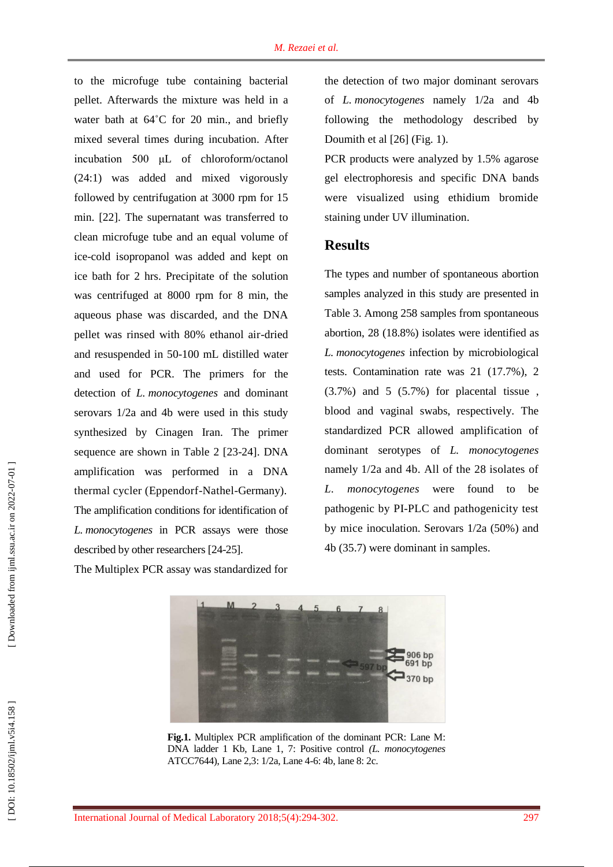to the microfuge tube containing bacterial pellet. Afterwards the mixture was held in a water bath at 64°C for 20 min., and briefly mixed several times during incubation. After incubation 500 μL of chloroform/octanol (24:1) was added and mixed vigorously followed by centrifugation at 3000 rpm for 15 min . [2 2]. The supernatant was transferred to clean microfuge tube and an equal volume of ice -cold isopropanol was added and kept on ice bath for 2 hrs. Precipitat e of the solution was centrifuged at 8000 rpm for 8 min, the aqueous phase was discarded, and the DNA pellet was rinsed with 80% ethanol air -dried and resuspended in 50 -100 m L distilled water and used for PCR. The p rimers for the detection of *L. monocytogenes* and dominant serovars 1/2a and 4b were used in this study synthesized by Cinagen Iran. The primer sequence are shown in Table 2 [23-24]. DNA amplification was performed in a DNA thermal cycler (Eppendorf -Nathel -Germany). The amplification conditions for identification of *L. monocytogenes* in PCR assays were those described by other researchers [24-25].

The Multiplex PCR assay was standardized for

the detection of two major dominant serovars of *L. monocytogenes* namely 1/2a and 4b following the methodology described by Doumith et al [2 6] (Fig. 1).

PCR products were analyzed by 1.5% agarose gel electrophoresis and specific DNA bands were visualized using ethidium bromide staining under UV illumination .

# **Result s**

The types and number of spontaneous abortion samples analyzed in this study are presented in Table 3. Among 258 samples from spontaneous abortion, 28 (18.8%) isolates were identified as *L. monocytogenes* infection by microbiological tests. Contamination rate was 21 (17.7%), 2 (3.7%) and 5 (5.7%) for placental tissue , blood and vaginal swabs, respectively. The standardized PCR allowed amplification of dominant serotypes of *L. monocytogenes* namely 1/2a and 4b. All of the 28 isolates of *L. monocytogenes* were found to be pathogenic by PI -PLC and pathogenicity test by mice inoculation. Serovars 1/2a (50%) and 4b (35.7) were dominant in samples.



**Fig.1 .** Multiplex PCR amplification of the dominant PCR: Lane M: DNA ladder 1 Kb, Lane 1, 7: Positive control *(L. monocytogenes* ATCC7644), Lane 2,3: 1/2a, Lane 4 -6: 4b, lane 8: 2c.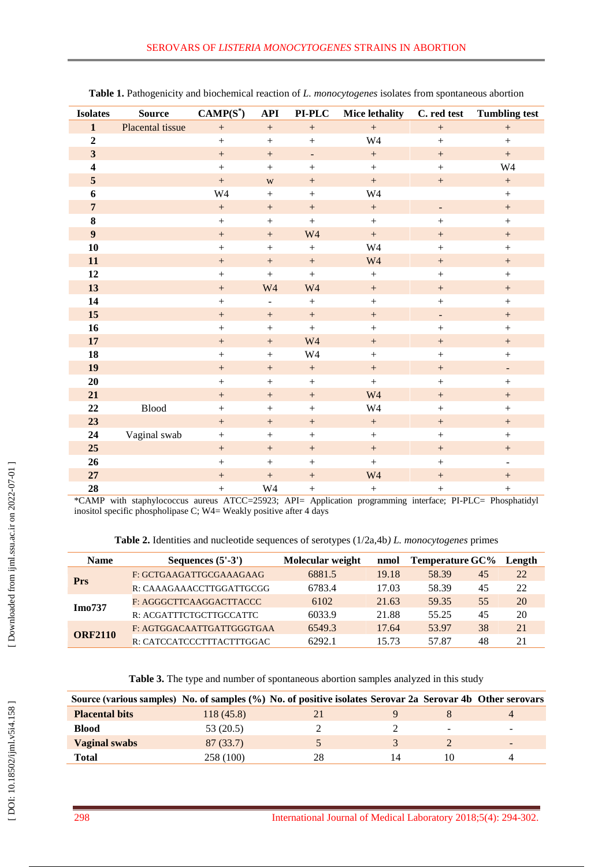| <b>Isolates</b>         | <b>Source</b>    | $CAMP(S^*)$      | <b>API</b>                   | $PI-PLC$          | <b>Mice lethality</b> | C. red test              | <b>Tumbling test</b>     |
|-------------------------|------------------|------------------|------------------------------|-------------------|-----------------------|--------------------------|--------------------------|
| $\mathbf{1}$            | Placental tissue | $\boldsymbol{+}$ | $\boldsymbol{+}$             | $\boldsymbol{+}$  | $\boldsymbol{+}$      | $\boldsymbol{+}$         | $\boldsymbol{+}$         |
| $\boldsymbol{2}$        |                  | $+$              | $^{+}$                       | $\boldsymbol{+}$  | W4                    | $\, +$                   | $+$                      |
| $\overline{\mathbf{3}}$ |                  | $+$              | $+$                          | $\blacksquare$    | $+$                   | $\, +$                   | $+$                      |
| $\overline{\mathbf{4}}$ |                  | $+$              | $+$                          | $+$               | $+$                   | $+$                      | W4                       |
| 5                       |                  | $\boldsymbol{+}$ | W                            | $\boldsymbol{+}$  | $\boldsymbol{+}$      | $\boldsymbol{+}$         | $+$                      |
| 6                       |                  | W4               | $+$                          | $\boldsymbol{+}$  | W4                    |                          | $\boldsymbol{+}$         |
| $\overline{7}$          |                  |                  | $+$                          | $\qquad \qquad +$ | $\qquad \qquad +$     | -                        | $+$                      |
| 8                       |                  | $\boldsymbol{+}$ | $+$                          | $+$               | $+$                   | $\! +$                   | $+$                      |
| $\boldsymbol{9}$        |                  |                  | $^{+}$                       | W4                | $\boldsymbol{+}$      | $\boldsymbol{+}$         | $+$                      |
| 10                      |                  |                  | $\boldsymbol{+}$             | $\boldsymbol{+}$  | W <sub>4</sub>        | $\boldsymbol{+}$         | $^{+}$                   |
| 11                      |                  | $+$              | $+$                          | $\qquad \qquad +$ | W <sub>4</sub>        | $\boldsymbol{+}$         | $+$                      |
| 12                      |                  | $+$              | $\boldsymbol{+}$             | $+$               | $+$                   | $\boldsymbol{+}$         | $+$                      |
| 13                      |                  | $\boldsymbol{+}$ | W <sub>4</sub>               | W <sub>4</sub>    | $\boldsymbol{+}$      | $\boldsymbol{+}$         | $\boldsymbol{+}$         |
| 14                      |                  | $+$              | $\qquad \qquad \blacksquare$ | $+$               | $+$                   | $+$                      | $+$                      |
| 15                      |                  |                  | $\! + \!\!\!\!$              | $\boldsymbol{+}$  | $^{+}$                | $\overline{\phantom{a}}$ | $^{+}$                   |
| 16                      |                  | $+$              | $+$                          | $+$               | $+$                   | $\pm$                    | $+$                      |
| 17                      |                  |                  | $^{+}$                       | W <sub>4</sub>    | $\qquad \qquad +$     | $\boldsymbol{+}$         | $+$                      |
| 18                      |                  |                  | $\boldsymbol{+}$             | W4                | $\boldsymbol{+}$      | $\boldsymbol{+}$         | $+$                      |
| 19                      |                  |                  | $^{+}$                       | $+$               | $+$                   | $\boldsymbol{+}$         | $\overline{\phantom{a}}$ |
| 20                      |                  | $+$              | $+$                          | $+$               | $+$                   | $\boldsymbol{+}$         | $+$                      |
| 21                      |                  |                  | $+$                          | $\boldsymbol{+}$  | W <sub>4</sub>        | $\, +$                   | $+$                      |
| 22                      | <b>Blood</b>     | $\boldsymbol{+}$ | $+$                          | $\boldsymbol{+}$  | W4                    | $\boldsymbol{+}$         | $+$                      |
| 23                      |                  | $+$              | $^{+}$                       | $+$               | $^{+}$                |                          | $^{+}$                   |
| 24                      | Vaginal swab     | $+$              | $+$                          | $+$               | $\boldsymbol{+}$      | $\boldsymbol{+}$         | $+$                      |
| 25                      |                  |                  | $^{+}$                       | $\boldsymbol{+}$  | $\qquad \qquad +$     | $\boldsymbol{+}$         | $+$                      |
| 26                      |                  | $\boldsymbol{+}$ | $+$                          | $\boldsymbol{+}$  | $\boldsymbol{+}$      | $\boldsymbol{+}$         | $\blacksquare$           |
| 27                      |                  | $+$              | $\boldsymbol{+}$             | $\boldsymbol{+}$  | W <sub>4</sub>        | $\boldsymbol{+}$         | $^{+}$                   |
| 28                      |                  | $+$              | W <sub>4</sub>               | $+$               | $\boldsymbol{+}$      | $\boldsymbol{+}$         |                          |

| Table 1. Pathogenicity and biochemical reaction of L. monocytogenes isolates from spontaneous abortior |  |  |
|--------------------------------------------------------------------------------------------------------|--|--|
|--------------------------------------------------------------------------------------------------------|--|--|

\*CAMP with staphylococcus aureus ATCC=25923; API= Application programming interface; PI -PLC= Phosphatidyl inositol specific phospholipase C ; W4= Weakly positive after 4 days

| Table 2. Identities and nucleotide sequences of serotypes (1/2a,4b) L. monocytogenes primes |  |  |  |
|---------------------------------------------------------------------------------------------|--|--|--|
|---------------------------------------------------------------------------------------------|--|--|--|

| <b>Name</b>    | Sequences $(5'-3')$       | Molecular weight | nmol  | Temperature GC% Length |    |    |
|----------------|---------------------------|------------------|-------|------------------------|----|----|
| <b>Prs</b>     | F: GCTGAAGATTGCGAAAGAAG   | 6881.5           | 19.18 | 58.39                  | 45 | 22 |
|                | R: CAAAGAAACCTTGGATTGCGG  | 6783.4           | 17.03 | 58.39                  | 45 | 22 |
| Imo737         | F: AGGGCTTCAAGGACTTACCC   | 6102             | 21.63 | 59.35                  | 55 | 20 |
|                | R: ACGATTTCTGCTTGCCATTC   | 6033.9           | 21.88 | 55.25                  | 45 | 20 |
| <b>ORF2110</b> | F: AGTGGACAATTGATTGGGTGAA | 6549.3           | 17.64 | 53.97                  | 38 | 21 |
|                | R: CATCCATCCCTTTACTTTGGAC | 6292.1           | 15 73 | 57.87                  | 48 |    |

**Table 3 .** The type and number of spontaneous abortion samples analyzed in this study

| Source (various samples) No. of samples (%) No. of positive isolates Serovar 2a Serovar 4b Other serovars |           |  |                          |                          |
|-----------------------------------------------------------------------------------------------------------|-----------|--|--------------------------|--------------------------|
| <b>Placental bits</b>                                                                                     | 118(45.8) |  |                          |                          |
| <b>Blood</b>                                                                                              | 53(20.5)  |  | $\overline{\phantom{0}}$ | $\overline{\phantom{a}}$ |
| <b>Vaginal swabs</b>                                                                                      | 87(33.7)  |  |                          |                          |
| <b>Total</b>                                                                                              | 258 (100) |  |                          |                          |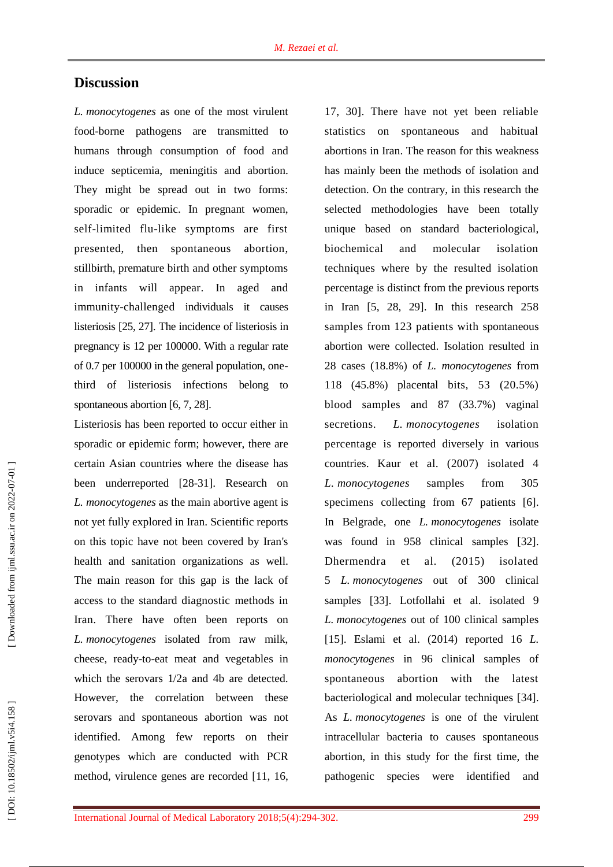# **Discussion**

*L. monocytogenes* as one of the most virulent food -borne pathogens are transmitted to human s through consumption of food and induce septicemia, meningitis and abortion. They might be spread out in two forms: sporadic or epidemic. In pregnant women, self -limited flu -like symptoms are first presented, then spontaneous abortion, stillbirth, premature birth and other symptoms in infants will appear. In aged and immunit y -challenged individuals it causes listeriosis [ 2 5, 2 7]. The incidence of listeriosis in pregnancy is 12 per 100000. With a regular rate of 0.7 per 100000 in the general population, one third of listeriosis infection s belong to spontaneous abortion [6, 7, 28].

Listeriosis has been reported to occur either in sporadic or epidemic form; however , there are certain Asia n countries where the disease has been underreported [ 2 8 - 3 1]. Research on *L. monocytogenes* as the main abortive agent is not yet fully explored in Iran. Scientific reports on this topic have not been covered by Iran's health and sanitation organizations as well. The main reason for this gap is the lack of access to the standard diagnostic methods in Iran. There have often been reports on *L. monocytogenes* isolated from raw milk, cheese, ready -to -eat meat and vegetable s in which the serovars 1/2a and 4b are detected. However, the correlation between these serovars and spontaneous abortion was not identified. Among few reports on their genotypes which are conducted with PCR method, virulence genes are recorded [11, 16, 17, 30]. There have not yet been reliable statistics on spontaneous and habitual abortions in Iran . The reason for this weakness has mainly been the methods of isolation and detection. On the contrary, in this research the selected methodologies have been totally unique based on standard bacteriological, biochemical and molecular isolation techniques where by the resulted isolation percentage is distinct from the previous reports in Iran [ 5, 28, 29]. In this research 258 samples from 123 patients with spontaneous abortion were collected . Isolation resulted in 28 cases (18.8%) of *L. monocytogenes* from 118 (45 . 8%) placental bits, 53 (20.5%) blood samples and 87 (33.7%) vaginal secretion s. *L . monocytogenes* isolation percentage is reported diversely in various countries. Kaur et al. (2007) isolated 4 *L. monocytogenes* samples from 305 specimens collecting from 67 patients [6]. In Belgrad e, one *L. monocytogenes* isolate was found in 958 clinical samples [32]. Dhermendr et al. (2015) isolated 5 *L. monocytogenes* out of 300 clinical samples [33]. Lotfollahi et al. isolated 9 *L. monocytogenes* out of 100 clinical samples [15 ]. Eslami et al. (2014 ) reported 16 *L. monocytogenes* in 96 clinical samples of spontaneous abortion with the latest bacteriological and molecular techniques [ 3 4 ]. As *L. monocytogenes* is one of the virulent intracellular bacteria to causes spontaneous abortion, in this study for the first time , the pathogenic species were identified and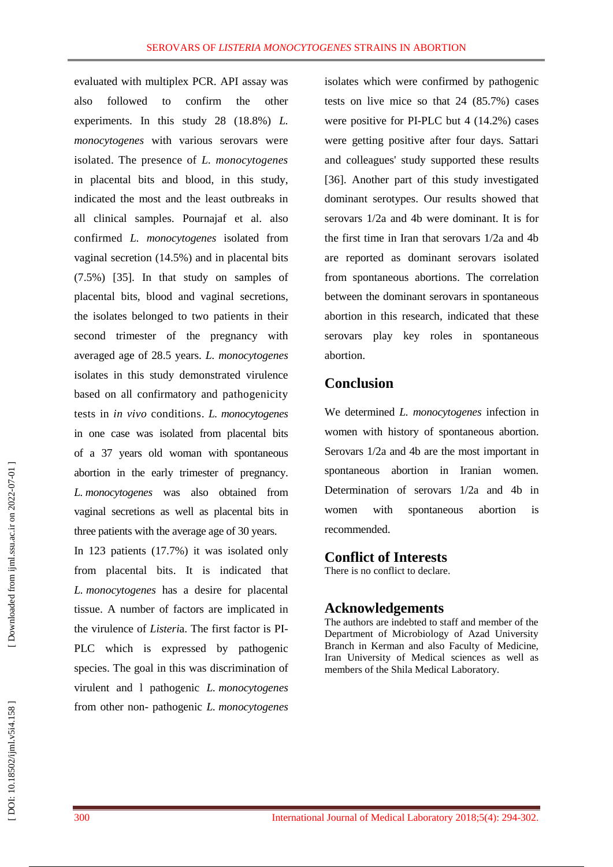evaluated with multiplex PCR. API assay was also followed to confirm the other experiments. In this study 28 (18.8%) *L. monocytogenes* with various serovars were isolated. The presence of *L. monocytogenes* in placental bits and blood, in this study, indicated the most and the least outbreaks in all clinical samples. Pournajaf et al . also confirmed *L. monocytogenes* isolate d from vaginal secretion (14.5%) and in placental bits (7.5%) [3 5]. In that study on samples of placental bits, blood and vaginal secretion s, the isolates belonged to two patients in their second trimester of the pregnancy with averaged age of 28.5 years. *L. monocytogenes* isolates in this study demonstrated virulence based on all confirmatory and pathogenicity tests in *in vivo* conditions. *L. monocytogenes* in one case was isolated from placental bits of a 37 years old woman with spontaneous abortion in the early trimester of pregnancy. *L. monocytogenes* was also obtained from vaginal secretion s as well as placental bits in three patients with the average age of 30 years.

In 123 patients (17.7%) it was isolated only from placental bits . It is indicated that *L. monocytogenes* has a desire for placental tissue. A number of factors are implicated in the virulence of *Listeri*a. The first factor is PI - PLC which is expressed by pathogenic species. The goal in this was discrimination of virulent and l pathogenic *L. monocytogenes* from other non - pathogenic *L. monocytogenes*

isolates which were confirmed by pathogenic tests on live mice so that 24 (85.7%) cases were positive for PI -PLC but 4 (14.2%) cases were getting positive after four days. Sattari and colleagues' study supported these results [36]. Another part of this study investigated dominant serotypes. Our results showed that serovars 1/2a and 4b were dominant. It is for the first time in Iran that serovars 1/2a and 4b are reported as dominant serovars isolated from spontaneous abortions. The correlation between the dominant serovars in spontaneous abortion in this research, indicated that these serovars play key roles in spontaneous abortion.

# **Conclusion**

We determined *L. monocytogenes* infection in women with history of spontaneous abortion. Serovars 1/2a and 4b are the most important in spontaneous abortion in Iranian women. Determination of serovars 1/2a and 4b in women with spontaneous abortion is recommended.

# **Conflict of Interests**

There is no conflict to declare.

# **Acknowledgements**

The authors are indebted to staff and member of the Department of Microbiology of Azad University Branch in Kerman an d also Faculty of Medicine, Iran University of Medical science s as well as members of the Shila Medical Laboratory.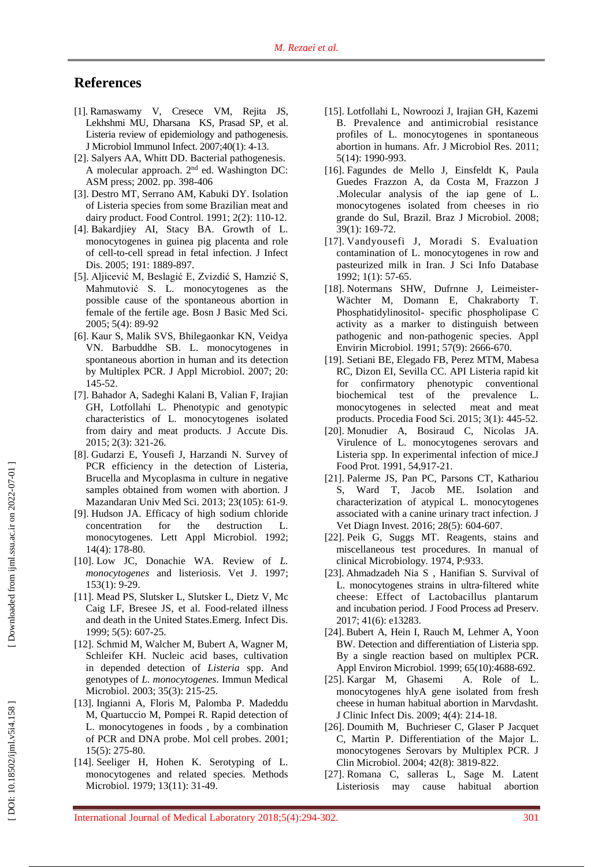# **References**

- [1]. Ramaswamy V, Cresece VM, Rejita JS , Lekhshmi MU , Dharsana KS, Prasad SP , et al. Listeria review of epidemiology and pathogenesis. J Microbiol Immunol Infect. 2007 ;40(1) : 4 -13 .
- [ 2]. Salyers AA , Whitt DD. Bacterial pathogenesis. A molecular approach. 2<sup>nd</sup> ed. Washington DC: ASM press ; 2002 . pp. 398 -406
- [ 3]. Destro MT, Serrano AM, Kabuki DY. Isolation of Listeria species from some Brazilian meat and dairy product. Food Control. 1991; 2(2): 110 -12 .
- [ 4]. Bakardjiey AI, Stacy BA. Growth of L. monocytogenes in guinea pig placenta and role of cell -to -cell spread in fetal infection. J Infect Dis. 2005; 191: 1889-897.
- [ 5]. Aljicević M, Beslagić E, Zvizdić S, Hamzić S, Mahmutović S . L. monocytogenes as the possible cause of the spontaneous abortion in female of the fertile age. Bosn J Basic Med Sci. 2005; 5(4): 89 -92
- [ 6]. Kaur S, Malik SVS, Bhilegaonkar KN, Veidya VN. Barbuddhe SB. L. monocytogenes in spontaneous abortion in human and its detection by Multiplex PCR. J Appl Microbiol . 2007 ; 20: 145 -52 .
- [ 7]. Bahador A, Sadeghi Kalani B, Valian F, Irajian GH, Lotfollahi L. Phenotypic and genotypic characteristics of L. monocytogenes isolated from dairy and meat products . J Accute Dis . 2015; 2(3): 321 -26.
- [ 8]. Gudarzi E, Yousefi J, Harzandi N. Survey of PCR efficiency in the detection of Listeria, Brucella and Mycoplasma in culture in negative samples obtained from women with abortion. J Mazandaran Univ Med Sci. 2013; 23(105): 61-9.
- [ 9]. Hudson JA. Efficacy of high sodium chloride concentration for the destruction L. monocytogenes . Lett Appl Microbiol. 1992; 14(4) : 178 -80 .
- [10]. Low JC , Donachie WA . Review of *L. monocytogenes* and listeriosis. Vet J. 1997 ; 153(1) : 9 -29 .
- [11]. Mead PS, Slutsker L, Slutsker L, Dietz V, Mc Caig LF, Bresee JS , et al. Food -related illness and death in the United States.Emerg. Infect Dis. 1999; 5(5) : 607 -25 .
- [12]. Schmid M, Walcher M, Bubert A, Wagner M, Schleifer KH. Nucleic acid bases, cultivation in depended detection of *Listeria* spp. And genotypes of *L. monocytogenes*. Immun Medical Microbiol. 2003; 35(3): 215-25.
- [13]. Ingianni A, Floris M, Palomba P. Madeddu M, Quartuccio M, Pompei R. Rapid detection of L. monocytogenes in foods , by a combination of PCR and DNA probe. Mol cell probes. 2001; 15(5) : 275 -80 .
- [14]. Seeliger H, Hohen K. Serotyping of L. monocytogenes and related species. Methods Microbiol. 1979; 13(11): 31-49.
- [15]. Lotfollahi L, Nowroozi J, Irajian GH, Kazemi B. Prevalence and antimicrobial resistance profiles of L. monocytogenes in spontaneous abortion in humans. Afr. J Microbiol Res. 2011 ; 5(14): 1990 -993.
- [16]. Fagundes de Mello J, Einsfeldt K, Paula Guedes Frazzon A, da Costa M, Frazzon J .Molecular analysis of the iap gene of L. monocytogenes isolated from cheeses in rio grande do Sul, Brazil. Braz J Microbiol. 2008 ; 39(1): 169 -72 .
- [17]. Vandyousefi J, Moradi S. Evaluation contamination of L. monocytogenes in row and pasteurized milk in Iran. J Sci Info Database 1992; 1(1) : 57 -65 .
- [18]. Notermans SHW, Dufrnne J, Leimeister-Wächter M, Domann E, Chakraborty T. Phosphatidylinositol - specific phospholipase C activity as a marker to distinguish between pathogenic and non -pathogenic species. Appl Envirin Microbiol. 1991; 57(9): 2666-670.
- [19]. Setiani BE, Elegado FB, Perez MTM, Mabesa RC, Dizon EI, Sevilla CC. API Listeria rapid kit for confirmatory phenotypic conventional biochemical test of the prevalence L. monocytogenes in selected meat and meat products. Procedia Food Sci. 2015; 3(1): 445-52.
- [20]. Monudier A, Bosiraud C, Nicolas J A . Virulence of L. monocytogenes serovars and Listeria spp. In experimental infection of mice.J Food Prot. 1991, 54,917-21.
- [21]. Palerme JS, Pan PC, Parsons CT, Kathariou S, Ward T, Jacob ME . Isolation and characterization of atypical L. monocytogenes associated with a canine urinary tract infection. J Vet Diagn Invest. 2016; 28(5): 604-607.
- [22]. Peik G, Suggs MT. Reagents, stains and miscellaneous test procedures. In manual of clinical Microbiology. 1974, P:933 .
- [23]. Ahmadzadeh Nia S , Hanifian S. Survival of L. monocytogenes strains in ultra ‐filtered white cheese: Effect of Lactobacillus plantarum and incubation period. J Food Process ad Preserv. 2017; 41(6): e13283 .
- [24]. Bubert A, Hein I, Rauch M, Lehmer A, Yoon BW. Detection and differentiation of Listeria spp. By a single reaction based on multiplex PCR. Appl Environ Microbiol. 1999; 65(10):4688-692.
- [25]. Kargar M, Ghasemi A. Role of L. monocytogenes hlyA gene isolated from fresh cheese in human habitual abortion in Marvdasht. J Clinic Infect Dis. 2009; 4(4): 214 - 1 8 .
- [26]. Doumith M, Buchrieser C, Glaser P Jacquet C, Martin P. Differentiation of the Major L. monocytogenes Serovars by Multiplex PCR. J Clin Microbiol. 2004; 42(8): 3819 -822.
- [27]. Romana C, salleras L, Sage M. Latent Listeriosis may cause habitual abortion

DOI: 10.18502/ijml.v5i4.158